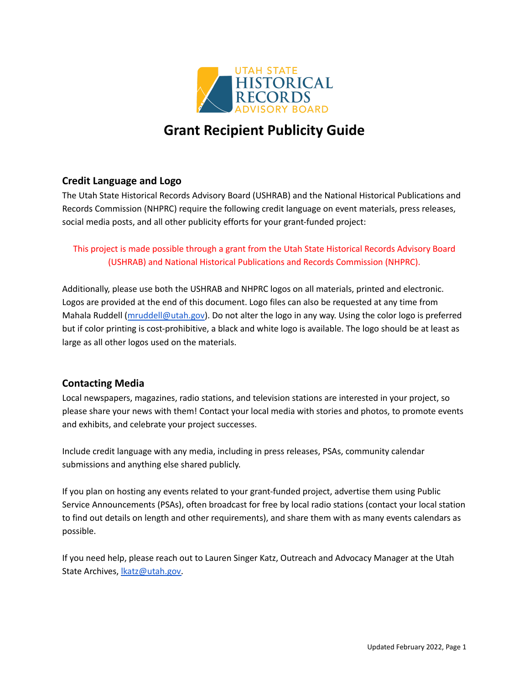

# **Grant Recipient Publicity Guide**

### **Credit Language and Logo**

The Utah State Historical Records Advisory Board (USHRAB) and the National Historical Publications and Records Commission (NHPRC) require the following credit language on event materials, press releases, social media posts, and all other publicity efforts for your grant-funded project:

#### This project is made possible through a grant from the Utah State Historical Records Advisory Board (USHRAB) and National Historical Publications and Records Commission (NHPRC).

Additionally, please use both the USHRAB and NHPRC logos on all materials, printed and electronic. Logos are provided at the end of this document. Logo files can also be requested at any time from Mahala Ruddell ([mruddell@utah.gov\)](mailto:mruddell@utah.gov). Do not alter the logo in any way. Using the color logo is preferred but if color printing is cost-prohibitive, a black and white logo is available. The logo should be at least as large as all other logos used on the materials.

#### **Contacting Media**

Local newspapers, magazines, radio stations, and television stations are interested in your project, so please share your news with them! Contact your local media with stories and photos, to promote events and exhibits, and celebrate your project successes.

Include credit language with any media, including in press releases, PSAs, community calendar submissions and anything else shared publicly.

If you plan on hosting any events related to your grant-funded project, advertise them using Public Service Announcements (PSAs), often broadcast for free by local radio stations (contact your local station to find out details on length and other requirements), and share them with as many events calendars as possible.

If you need help, please reach out to Lauren Singer Katz, Outreach and Advocacy Manager at the Utah State Archives, [lkatz@utah.gov.](mailto:lkatz@utah.gov)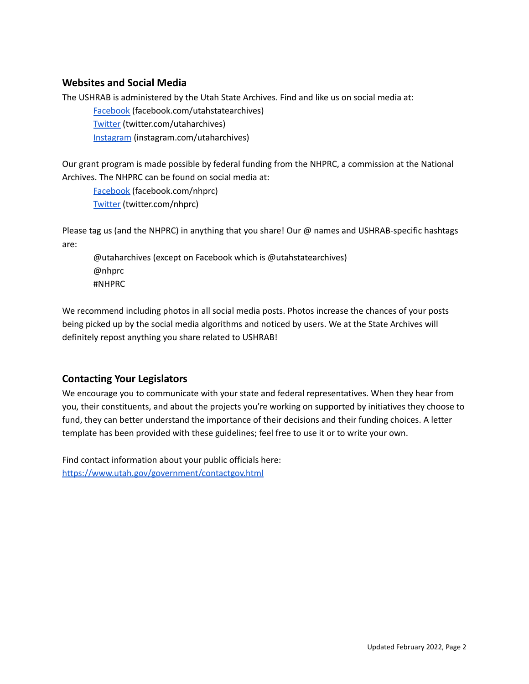#### **Websites and Social Media**

The USHRAB is administered by the Utah State Archives. Find and like us on social media at:

[Facebook](https://www.facebook.com/utahstatearchives) (facebook.com/utahstatearchives) [Twitter](https://twitter.com/UtahArchives) (twitter.com/utaharchives)

[Instagram](https://www.instagram.com/utaharchives/) (instagram.com/utaharchives)

Our grant program is made possible by federal funding from the NHPRC, a commission at the National Archives. The NHPRC can be found on social media at:

[Facebook](https://www.facebook.com/nhprc) (facebook.com/nhprc) [Twitter](https://twitter.com/NHPRC) (twitter.com/nhprc)

Please tag us (and the NHPRC) in anything that you share! Our @ names and USHRAB-specific hashtags are:

@utaharchives (except on Facebook which is @utahstatearchives) @nhprc #NHPRC

We recommend including photos in all social media posts. Photos increase the chances of your posts being picked up by the social media algorithms and noticed by users. We at the State Archives will definitely repost anything you share related to USHRAB!

## **Contacting Your Legislators**

We encourage you to communicate with your state and federal representatives. When they hear from you, their constituents, and about the projects you're working on supported by initiatives they choose to fund, they can better understand the importance of their decisions and their funding choices. A letter template has been provided with these guidelines; feel free to use it or to write your own.

Find contact information about your public officials here: <https://www.utah.gov/government/contactgov.html>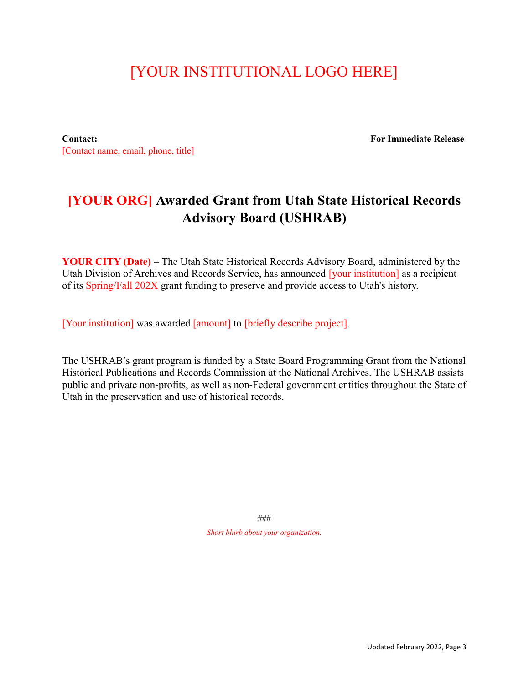# [YOUR INSTITUTIONAL LOGO HERE]

**Contact: For Immediate Release** [Contact name, email, phone, title]

## **[YOUR ORG] Awarded Grant from Utah State Historical Records Advisory Board (USHRAB)**

**YOUR CITY (Date)** – The Utah State Historical Records Advisory Board, administered by the Utah Division of Archives and Records Service, has announced [your institution] as a recipient of its Spring/Fall 202X grant funding to preserve and provide access to Utah's history.

[Your institution] was awarded [amount] to [briefly describe project].

The USHRAB's grant program is funded by a State Board Programming Grant from the National Historical Publications and Records Commission at the National Archives. The USHRAB assists public and private non-profits, as well as non-Federal government entities throughout the State of Utah in the preservation and use of historical records.

> ### *Short blurb about your organization.*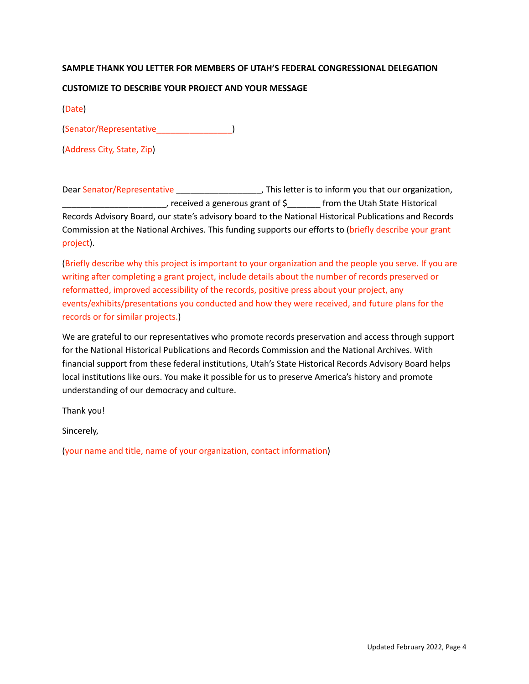#### **SAMPLE THANK YOU LETTER FOR MEMBERS OF UTAH'S FEDERAL CONGRESSIONAL DELEGATION**

#### **CUSTOMIZE TO DESCRIBE YOUR PROJECT AND YOUR MESSAGE**

(Date)

(Senator/Representative\_\_\_\_\_\_\_\_\_\_\_\_\_\_\_\_)

(Address City, State, Zip)

Dear Senator/Representative \_\_\_\_\_\_\_\_\_\_\_\_\_\_\_\_\_\_\_\_\_, This letter is to inform you that our organization, \_\_\_\_\_\_\_\_\_\_\_\_\_\_\_\_\_\_\_\_\_\_, received a generous grant of \$\_\_\_\_\_\_\_ from the Utah State Historical Records Advisory Board, our state's advisory board to the National Historical Publications and Records Commission at the National Archives. This funding supports our efforts to (briefly describe your grant project).

(Briefly describe why this project is important to your organization and the people you serve. If you are writing after completing a grant project, include details about the number of records preserved or reformatted, improved accessibility of the records, positive press about your project, any events/exhibits/presentations you conducted and how they were received, and future plans for the records or for similar projects.)

We are grateful to our representatives who promote records preservation and access through support for the National Historical Publications and Records Commission and the National Archives. With financial support from these federal institutions, Utah's State Historical Records Advisory Board helps local institutions like ours. You make it possible for us to preserve America's history and promote understanding of our democracy and culture.

Thank you!

Sincerely,

(your name and title, name of your organization, contact information)